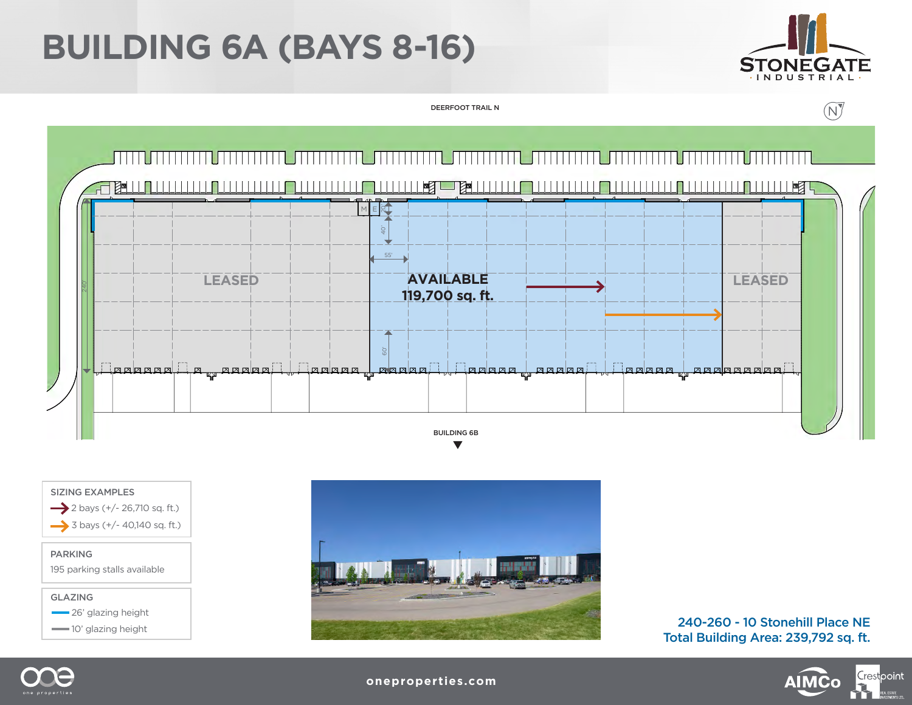## **BUILDING 6A (BAYS 8-16)**



DEERFOOT TRAIL N





195 parking stalls available



 $-$  26' glazing height

 $\longrightarrow$  10' glazing height



240-260 - 10 Stonehill Place NE Total Building Area: 239,792 sq. ft.





**oneproperties.com**